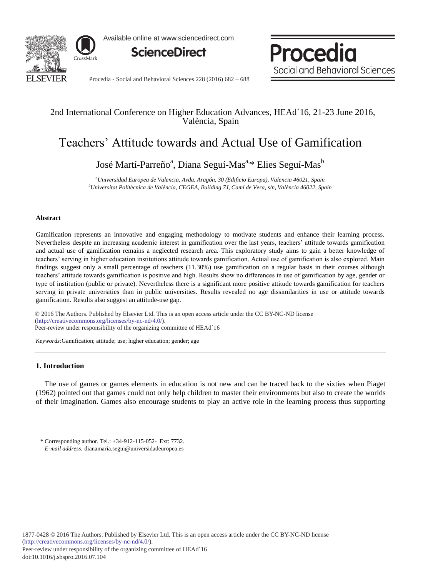

Available online at www.sciencedirect.com



Procedia Social and Behavioral Sciences

Procedia - Social and Behavioral Sciences 228 (2016) 682 – 688

# 2nd International Conference on Higher Education Advances, HEAd´16, 21-23 June 2016, València, Spain

# Teachers' Attitude towards and Actual Use of Gamification

José Martí-Parreño<sup>a</sup>, Diana Seguí-Mas<sup>a,</sup>\* Elies Seguí-Mas<sup>b</sup>

*a Universidad Europea de Valencia, Avda. Aragón, 30 (Edificio Europa), Valencia 46021, Spain b Universitat Politècnica de València, CEGEA, Building 7J, Camí de Vera, s/n, València 46022, Spain* 

# **Abstract**

Gamification represents an innovative and engaging methodology to motivate students and enhance their learning process. Nevertheless despite an increasing academic interest in gamification over the last years, teachers' attitude towards gamification and actual use of gamification remains a neglected research area. This exploratory study aims to gain a better knowledge of teachers' serving in higher education institutions attitude towards gamification. Actual use of gamification is also explored. Main findings suggest only a small percentage of teachers (11.30%) use gamification on a regular basis in their courses although teachers' attitude towards gamification is positive and high. Results show no differences in use of gamification by age, gender or type of institution (public or private). Nevertheless there is a significant more positive attitude towards gamification for teachers serving in private universities than in public universities. Results revealed no age dissimilarities in use or attitude towards gamification. Results also suggest an attitude-use gap.

 $\degree$  2016 The Authors. Published by Elsevier Ltd. This is an open access article under the CC BY-NC-ND license Peer-review under responsibility of the organizing committee of HEAd´16. Peer-review under responsibility of the organizing committee of HEAd´16(http://creativecommons.org/licenses/by-nc-nd/4.0/).

*Keywords:*Gamification; attitude; use; higher education; gender; age

# **1. Introduction**

The use of games or games elements in education is not new and can be traced back to the sixties when Piaget (1962) pointed out that games could not only help children to master their environments but also to create the worlds of their imagination. Games also encourage students to play an active role in the learning process thus supporting

<sup>\*</sup> Corresponding author. Tel.: +34-912-115-052- Ext: 7732. *E-mail address:* dianamaria.segui@universidadeuropea.es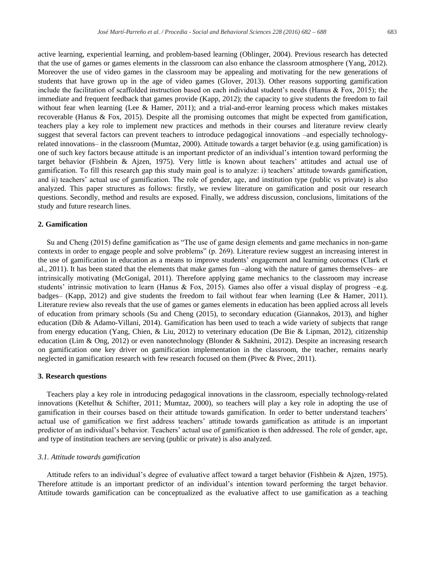active learning, experiential learning, and problem-based learning (Oblinger, 2004). Previous research has detected that the use of games or games elements in the classroom can also enhance the classroom atmosphere (Yang, 2012). Moreover the use of video games in the classroom may be appealing and motivating for the new generations of students that have grown up in the age of video games (Glover, 2013). Other reasons supporting gamification include the facilitation of scaffolded instruction based on each individual student's needs (Hanus & Fox, 2015); the immediate and frequent feedback that games provide (Kapp, 2012); the capacity to give students the freedom to fail without fear when learning (Lee & Hamer, 2011); and a trial-and-error learning process which makes mistakes recoverable (Hanus & Fox, 2015). Despite all the promising outcomes that might be expected from gamification, teachers play a key role to implement new practices and methods in their courses and literature review clearly suggest that several factors can prevent teachers to introduce pedagogical innovations –and especially technologyrelated innovations– in the classroom (Mumtaz, 2000). Attitude towards a target behavior (e.g. using gamification) is one of such key factors because attitude is an important predictor of an individual's intention toward performing the target behavior (Fishbein & Ajzen, 1975). Very little is known about teachers' attitudes and actual use of gamification. To fill this research gap this study main goal is to analyze: i) teachers' attitude towards gamification, and ii) teachers' actual use of gamification. The role of gender, age, and institution type (public vs private) is also analyzed. This paper structures as follows: firstly, we review literature on gamification and posit our research questions. Secondly, method and results are exposed. Finally, we address discussion, conclusions, limitations of the study and future research lines.

# **2. Gamification**

Su and Cheng (2015) define gamification as "The use of game design elements and game mechanics in non-game contexts in order to engage people and solve problems" (p. 269). Literature review suggest an increasing interest in the use of gamification in education as a means to improve students' engagement and learning outcomes (Clark et al., 2011). It has been stated that the elements that make games fun –along with the nature of games themselves– are intrinsically motivating (McGonigal, 2011). Therefore applying game mechanics to the classroom may increase students' intrinsic motivation to learn (Hanus & Fox, 2015). Games also offer a visual display of progress  $-e.g.$ badges– (Kapp, 2012) and give students the freedom to fail without fear when learning (Lee & Hamer, 2011). Literature review also reveals that the use of games or games elements in education has been applied across all levels of education from primary schools (Su and Cheng (2015), to secondary education (Giannakos, 2013), and higher education (Dib & Adamo-Villani, 2014). Gamification has been used to teach a wide variety of subjects that range from energy education (Yang, Chien, & Liu, 2012) to veterinary education (De Bie & Lipman, 2012), citizenship education (Lim & Ong, 2012) or even nanotechnology (Blonder & Sakhnini, 2012). Despite an increasing research on gamification one key driver on gamification implementation in the classroom, the teacher, remains nearly neglected in gamification research with few research focused on them (Pivec & Pivec, 2011).

#### **3. Research questions**

Teachers play a key role in introducing pedagogical innovations in the classroom, especially technology-related innovations (Ketelhut & Schifter, 2011; Mumtaz, 2000), so teachers will play a key role in adopting the use of gamification in their courses based on their attitude towards gamification. In order to better understand teachers' actual use of gamification we first address teachers' attitude towards gamification as attitude is an important predictor of an individual's behavior. Teachers' actual use of gamification is then addressed. The role of gender, age, and type of institution teachers are serving (public or private) is also analyzed.

# *3.1. Attitude towards gamification*

Attitude refers to an individual's degree of evaluative affect toward a target behavior (Fishbein & Ajzen, 1975). Therefore attitude is an important predictor of an individual's intention toward performing the target behavior. Attitude towards gamification can be conceptualized as the evaluative affect to use gamification as a teaching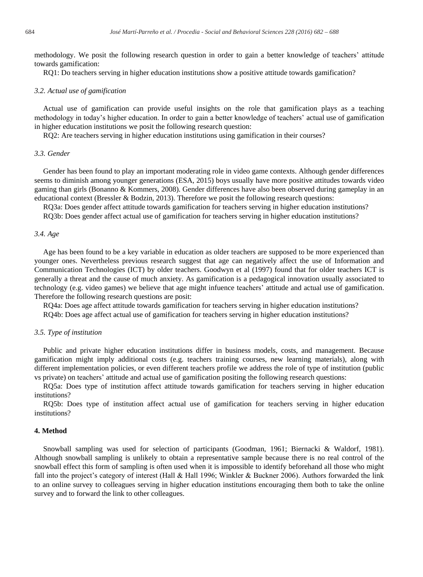methodology. We posit the following research question in order to gain a better knowledge of teachers' attitude towards gamification:

RQ1: Do teachers serving in higher education institutions show a positive attitude towards gamification?

#### *3.2. Actual use of gamification*

Actual use of gamification can provide useful insights on the role that gamification plays as a teaching methodology in today's higher education. In order to gain a better knowledge of teachers' actual use of gamification in higher education institutions we posit the following research question:

RQ2: Are teachers serving in higher education institutions using gamification in their courses?

# *3.3. Gender*

Gender has been found to play an important moderating role in video game contexts. Although gender differences seems to diminish among younger generations (ESA, 2015) boys usually have more positive attitudes towards video gaming than girls (Bonanno & Kommers, 2008). Gender differences have also been observed during gameplay in an educational context (Bressler & Bodzin, 2013). Therefore we posit the following research questions:

RQ3a: Does gender affect attitude towards gamification for teachers serving in higher education institutions?

RQ3b: Does gender affect actual use of gamification for teachers serving in higher education institutions?

#### *3.4. Age*

Age has been found to be a key variable in education as older teachers are supposed to be more experienced than younger ones. Nevertheless previous research suggest that age can negatively affect the use of Information and Communication Technologies (ICT) by older teachers. Goodwyn et al (1997) found that for older teachers ICT is generally a threat and the cause of much anxiety. As gamification is a pedagogical innovation usually associated to technology (e.g. video games) we believe that age might infuence teachers' attitude and actual use of gamification. Therefore the following research questions are posit:

RQ4a: Does age affect attitude towards gamification for teachers serving in higher education institutions?

RQ4b: Does age affect actual use of gamification for teachers serving in higher education institutions?

#### *3.5. Type of institution*

Public and private higher education institutions differ in business models, costs, and management. Because gamification might imply additional costs (e.g. teachers training courses, new learning materials), along with different implementation policies, or even different teachers profile we address the role of type of institution (public vs private) on teachers' attitude and actual use of gamification positing the following research questions:

RQ5a: Does type of institution affect attitude towards gamification for teachers serving in higher education institutions?

RQ5b: Does type of institution affect actual use of gamification for teachers serving in higher education institutions?

# **4. Method**

Snowball sampling was used for selection of participants (Goodman, 1961; Biernacki & Waldorf, 1981). Although snowball sampling is unlikely to obtain a representative sample because there is no real control of the snowball effect this form of sampling is often used when it is impossible to identify beforehand all those who might fall into the project's category of interest (Hall & Hall 1996; Winkler & Buckner 2006). Authors forwarded the link to an online survey to colleagues serving in higher education institutions encouraging them both to take the online survey and to forward the link to other colleagues.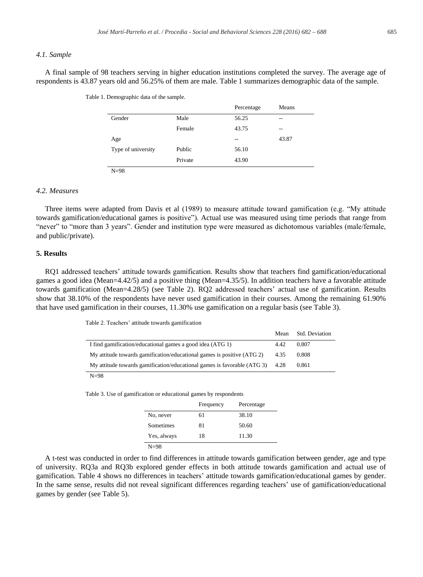# *4.1. Sample*

A final sample of 98 teachers serving in higher education institutions completed the survey. The average age of respondents is 43.87 years old and 56.25% of them are male. Table 1 summarizes demographic data of the sample.

|                       |         | Percentage | Means |  |
|-----------------------|---------|------------|-------|--|
| Gender                | Male    | 56.25      | $-$   |  |
|                       | Female  | 43.75      | $-$   |  |
| Age                   |         | $- -$      | 43.87 |  |
| Type of university    | Public  | 56.10      |       |  |
|                       | Private | 43.90      |       |  |
| $\mathbf{v}$ $\alpha$ |         |            |       |  |

Table 1. Demographic data of the sample.

N=98

# *4.2. Measures*

Three items were adapted from Davis et al (1989) to measure attitude toward gamification (e.g. "My attitude towards gamification/educational games is positive"). Actual use was measured using time periods that range from "never" to "more than 3 years". Gender and institution type were measured as dichotomous variables (male/female, and public/private).

# **5. Results**

RQ1 addressed teachers' attitude towards gamification. Results show that teachers find gamification/educational games a good idea (Mean=4.42/5) and a positive thing (Mean=4.35/5). In addition teachers have a favorable attitude towards gamification (Mean=4.28/5) (see Table 2). RQ2 addressed teachers' actual use of gamification. Results show that 38.10% of the respondents have never used gamification in their courses. Among the remaining 61.90% that have used gamification in their courses, 11.30% use gamification on a regular basis (see Table 3).

Table 2. Teachers' attitude towards gamification

|                                                                         | Mean | <b>Std. Deviation</b> |
|-------------------------------------------------------------------------|------|-----------------------|
| I find gamification/educational games a good idea (ATG 1)               | 4.42 | 0.807                 |
| My attitude towards gamification/educational games is positive (ATG 2)  | 4.35 | 0.808                 |
| My attitude towards gamification/educational games is favorable (ATG 3) | 4.28 | 0.861                 |
|                                                                         |      |                       |

 $N=98$ 

Table 3. Use of gamification or educational games by respondents

|             | Frequency | Percentage |
|-------------|-----------|------------|
| No, never   | 61        | 38.10      |
| Sometimes   | 81        | 50.60      |
| Yes, always | 18        | 11.30      |
| N=98        |           |            |

A t-test was conducted in order to find differences in attitude towards gamification between gender, age and type of university. RQ3a and RQ3b explored gender effects in both attitude towards gamification and actual use of gamification. Table 4 shows no differences in teachers' attitude towards gamification/educational games by gender. In the same sense, results did not reveal significant differences regarding teachers' use of gamification/educational games by gender (see Table 5).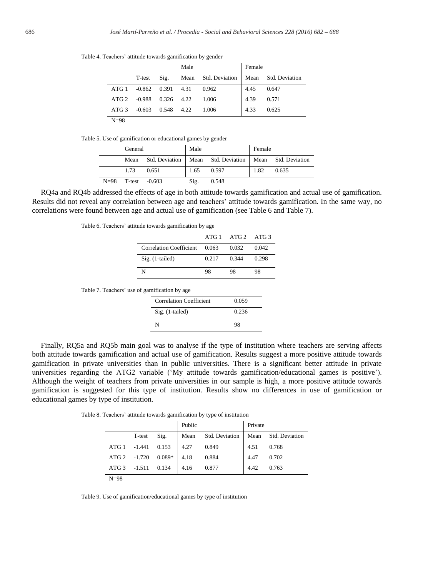|                  |                         |                     | Male |                                         | Female |       |
|------------------|-------------------------|---------------------|------|-----------------------------------------|--------|-------|
|                  | T-test                  | $\mathrm{Sig}$ .    |      | Mean Std. Deviation Mean Std. Deviation |        |       |
| ATG 1            |                         | $-0.862$ 0.391 4.31 |      | 0.962                                   | 4.45   | 0.647 |
|                  | ATG 2 -0.988 0.326 4.22 |                     |      | 1.006                                   | 4.39   | 0.571 |
| ATG <sub>3</sub> | $-0.603$                | 0.548               | 4.22 | 1.006                                   | 4.33   | 0.625 |
| $N=98$           |                         |                     |      |                                         |        |       |

Table 4. Teachers' attitude towards gamification by gender

Table 5. Use of gamification or educational games by gender

|        | General         |       | Male |                                                            | Female |       |
|--------|-----------------|-------|------|------------------------------------------------------------|--------|-------|
|        | Mean            |       |      | Std. Deviation   Mean Std. Deviation   Mean Std. Deviation |        |       |
|        | 1.73            | 0.651 | 1.65 | 0.597                                                      | 1.82   | 0.635 |
| $N=98$ | $T-test -0.603$ |       | Sig. | 0.548                                                      |        |       |

RQ4a and RQ4b addressed the effects of age in both attitude towards gamification and actual use of gamification. Results did not reveal any correlation between age and teachers' attitude towards gamification. In the same way, no correlations were found between age and actual use of gamification (see Table 6 and Table 7).

Table 6. Teachers' attitude towards gamification by age

|                                |       | $ATG1$ $ATG2$ $ATG3$ |       |
|--------------------------------|-------|----------------------|-------|
| <b>Correlation Coefficient</b> | 0.063 | 0.032                | 0.042 |
| Sig. (1-tailed)                | 0.217 | 0.344                | 0.298 |
|                                | 98    | 98                   | 98    |

Table 7. Teachers' use of gamification by age

| <b>Correlation Coefficient</b> | 0.059 |
|--------------------------------|-------|
| Sig. (1-tailed)                | 0.236 |
| N                              | 98    |

Finally, RQ5a and RQ5b main goal was to analyse if the type of institution where teachers are serving affects both attitude towards gamification and actual use of gamification. Results suggest a more positive attitude towards gamification in private universities than in public universities. There is a significant better attitude in private universities regarding the ATG2 variable ('My attitude towards gamification/educational games is positive'). Although the weight of teachers from private universities in our sample is high, a more positive attitude towards gamification is suggested for this type of institution. Results show no differences in use of gamification or educational games by type of institution.

Table 8. Teachers' attitude towards gamification by type of institution

|                  |          |          | Public |                | Private |                |
|------------------|----------|----------|--------|----------------|---------|----------------|
|                  | T-test   | Sig.     | Mean   | Std. Deviation | Mean    | Std. Deviation |
| ATG 1            | $-1.441$ | 0.153    | 4.27   | 0.849          | 4.51    | 0.768          |
| ATG 2 -1.720     |          | $0.089*$ | 4.18   | 0.884          | 4.47    | 0.702          |
| ATG <sub>3</sub> | $-1.511$ | 0.134    | 4.16   | 0.877          | 4.42    | 0.763          |
| $N=98$           |          |          |        |                |         |                |

Table 9. Use of gamification/educational games by type of institution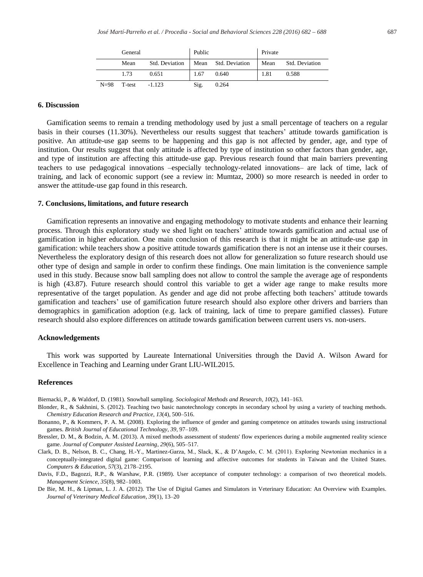|        | General |                | Public |                     | Private |                       |
|--------|---------|----------------|--------|---------------------|---------|-----------------------|
|        | Mean    | Std. Deviation |        | Mean Std. Deviation | Mean    | <b>Std. Deviation</b> |
|        | 1.73    | 0.651          | 1.67   | 0.640               | 1.81    | 0.588                 |
| $N=98$ | T-test  | $-1.123$       | Sig.   | 0.264               |         |                       |

# **6. Discussion**

Gamification seems to remain a trending methodology used by just a small percentage of teachers on a regular basis in their courses (11.30%). Nevertheless our results suggest that teachers' attitude towards gamification is positive. An attitude-use gap seems to be happening and this gap is not affected by gender, age, and type of institution. Our results suggest that only attitude is affected by type of institution so other factors than gender, age, and type of institution are affecting this attitude-use gap. Previous research found that main barriers preventing teachers to use pedagogical innovations –especially technology-related innovations– are lack of time, lack of training, and lack of economic support (see a review in: Mumtaz, 2000) so more research is needed in order to answer the attitude-use gap found in this research.

#### **7. Conclusions, limitations, and future research**

Gamification represents an innovative and engaging methodology to motivate students and enhance their learning process. Through this exploratory study we shed light on teachers' attitude towards gamification and actual use of gamification in higher education. One main conclusion of this research is that it might be an attitude-use gap in gamification: while teachers show a positive attitude towards gamification there is not an intense use it their courses. Nevertheless the exploratory design of this research does not allow for generalization so future research should use other type of design and sample in order to confirm these findings. One main limitation is the convenience sample used in this study. Because snow ball sampling does not allow to control the sample the average age of respondents is high (43.87). Future research should control this variable to get a wider age range to make results more representative of the target population. As gender and age did not probe affecting both teachers' attitude towards gamification and teachers' use of gamification future research should also explore other drivers and barriers than demographics in gamification adoption (e.g. lack of training, lack of time to prepare gamified classes). Future research should also explore differences on attitude towards gamification between current users vs. non-users.

#### **Acknowledgements**

This work was supported by Laureate International Universities through the David A. Wilson Award for Excellence in Teaching and Learning under Grant LIU-WIL2015.

#### **References**

Biernacki, P., & Waldorf, D. (1981). Snowball sampling. *Sociological Methods and Research*, *10*(2), 141–163.

- Blonder, R., & Sakhnini, S. (2012). Teaching two basic nanotechnology concepts in secondary school by using a variety of teaching methods. *Chemistry Education Research and Practice*, *13*(4), 500–516.
- Bonanno, P., & Kommers, P. A. M. (2008). Exploring the influence of gender and gaming competence on attitudes towards using instructional games. *British Journal of Educational Technology*, *39*, 97–109.

Bressler, D. M., & Bodzin, A. M. (2013). A mixed methods assessment of students' flow experiences during a mobile augmented reality science game. *Journal of Computer Assisted Learning*, *29*(6), 505–517.

- Clark, D. B., Nelson, B. C., Chang, H.-Y., Martinez-Garza, M., Slack, K., & D'Angelo, C. M. (2011). Exploring Newtonian mechanics in a conceptually-integrated digital game: Comparison of learning and affective outcomes for students in Taiwan and the United States. *Computers & Education*, *57*(3), 2178–2195.
- Davis, F.D., Bagozzi, R.P., & Warshaw, P.R. (1989). User acceptance of computer technology: a comparison of two theoretical models. *Management Science*, *35*(8), 982–1003.
- De Bie, M. H., & Lipman, L. J. A. (2012). The Use of Digital Games and Simulators in Veterinary Education: An Overview with Examples. *Journal of Veterinary Medical Education*, *39*(1), 13–20